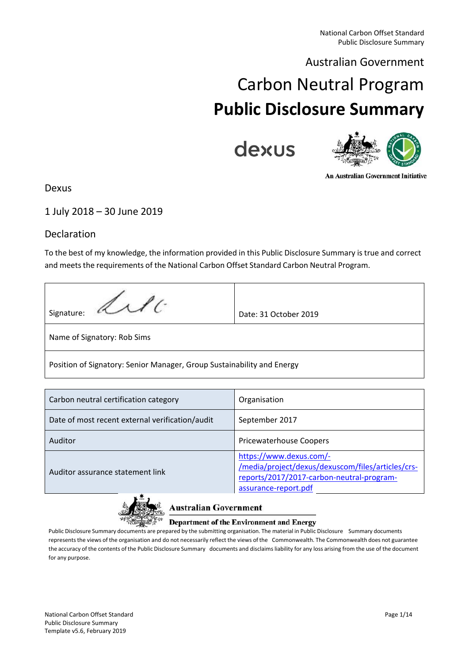# Australian Government

# Carbon Neutral Program **Public Disclosure Summary**

dexus



**An Australian Government Initiative** 

# Dexus

# 1 July 2018 – 30 June 2019

# Declaration

To the best of my knowledge, the information provided in this Public Disclosure Summary is true and correct and meets the requirements of the National Carbon Offset Standard Carbon Neutral Program.

| Signature: <i>Lab</i> 16                                               | Date: 31 October 2019 |  |  |  |
|------------------------------------------------------------------------|-----------------------|--|--|--|
| Name of Signatory: Rob Sims                                            |                       |  |  |  |
| Position of Signatory: Senior Manager, Group Sustainability and Energy |                       |  |  |  |

| Carbon neutral certification category           | Organisation                                                                                                                                      |
|-------------------------------------------------|---------------------------------------------------------------------------------------------------------------------------------------------------|
| Date of most recent external verification/audit | September 2017                                                                                                                                    |
| Auditor                                         | <b>Pricewaterhouse Coopers</b>                                                                                                                    |
| Auditor assurance statement link                | https://www.dexus.com/-<br>/media/project/dexus/dexuscom/files/articles/crs-<br>reports/2017/2017-carbon-neutral-program-<br>assurance-report.pdf |



### **Australian Government**

### **Department of the Environment and Energy**

Public Disclosure Summary documents are prepared by the submitting organisation. The material in Public Disclosure Summary documents represents the views of the organisation and do not necessarily reflect the views of the Commonwealth. The Commonwealth does not guarantee the accuracy of the contents of the Public Disclosure Summary documents and disclaimsliability for any loss arising from the use of the document for any purpose.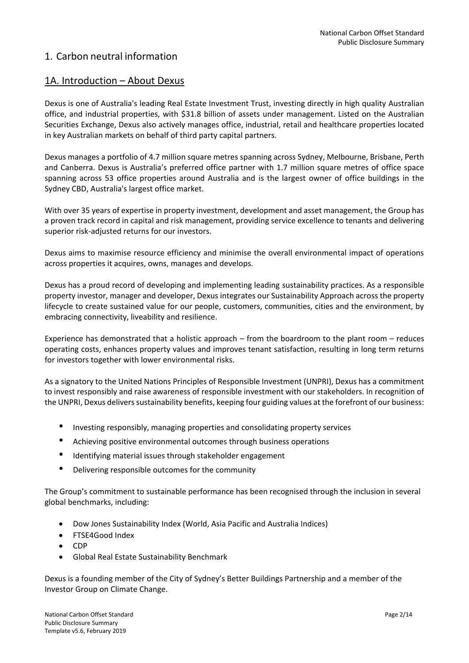# 1. Carbon neutral information

# 1A. Introduction – About Dexus

Dexus is one of Australia's leading Real Estate Investment Trust, investing directly in high quality Australian office, and industrial properties, with \$31.8 billion of assets under management. Listed on the Australian Securities Exchange, Dexus also actively manages office, industrial, retail and healthcare properties located in key Australian markets on behalf of third party capital partners.

Dexus manages a portfolio of 4.7 million square metres spanning across Sydney, Melbourne, Brisbane, Perth and Canberra. Dexus is Australia's preferred office partner with 1.7 million square metres of office space spanning across 53 office properties around Australia and is the largest owner of office buildings in the Sydney CBD, Australia's largest office market.

With over 35 years of expertise in property investment, development and asset management, the Group has a proven track record in capital and risk management, providing service excellence to tenants and delivering superior risk-adjusted returns for our investors.

Dexus aims to maximise resource efficiency and minimise the overall environmental impact of operations across properties it acquires, owns, manages and develops.

Dexus has a proud record of developing and implementing leading sustainability practices. As a responsible property investor, manager and developer, Dexus integrates our Sustainability Approach across the property lifecycle to create sustained value for our people, customers, communities, cities and the environment, by embracing connectivity, liveability and resilience.

Experience has demonstrated that a holistic approach – from the boardroom to the plant room – reduces operating costs, enhances property values and improves tenant satisfaction, resulting in long term returns for investors together with lower environmental risks.

As a signatory to the United Nations Principles of Responsible Investment (UNPRI), Dexus has a commitment to invest responsibly and raise awareness of responsible investment with our stakeholders. In recognition of the UNPRI, Dexus delivers sustainability benefits, keeping four guiding values at the forefront of our business:

- Investing responsibly, managing properties and consolidating property services
- Achieving positive environmental outcomes through business operations
- Identifying material issues through stakeholder engagement
- Delivering responsible outcomes for the community

The Group's commitment to sustainable performance has been recognised through the inclusion in several global benchmarks, including:

- Dow Jones Sustainability Index (World, Asia Pacific and Australia Indices)
- FTSE4Good Index
- CDP
- Global Real Estate Sustainability Benchmark

Dexus is a founding member of the City of Sydney's Better Buildings Partnership and a member of the Investor Group on Climate Change.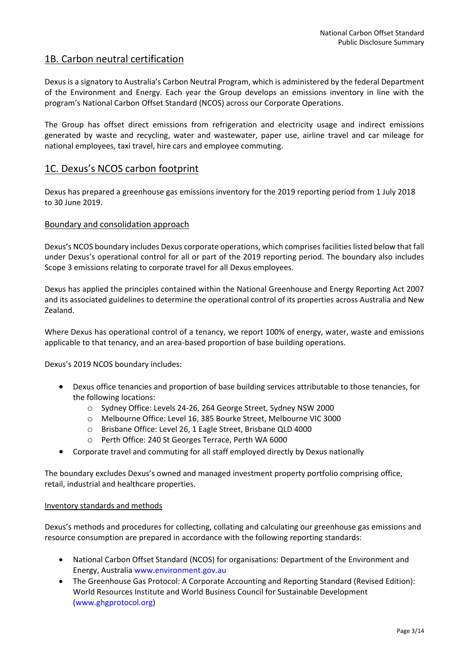# 1B. Carbon neutral certification

Dexus is a signatory to Australia's Carbon Neutral Program, which is administered by the federal Department of the Environment and Energy. Each year the Group develops an emissions inventory in line with the program's National Carbon Offset Standard (NCOS) across our Corporate Operations.

The Group has offset direct emissions from refrigeration and electricity usage and indirect emissions generated by waste and recycling, water and wastewater, paper use, airline travel and car mileage for national employees, taxi travel, hire cars and employee commuting.

# 1C. Dexus's NCOS carbon footprint

Dexus has prepared a greenhouse gas emissions inventory for the 2019 reporting period from 1 July 2018 to 30 June 2019.

### Boundary and consolidation approach

Dexus's NCOS boundary includes Dexus corporate operations, which comprises facilities listed below that fall under Dexus's operational control for all or part of the 2019 reporting period. The boundary also includes Scope 3 emissions relating to corporate travel for all Dexus employees.

Dexus has applied the principles contained within the National Greenhouse and Energy Reporting Act 2007 and its associated guidelines to determine the operational control of its properties across Australia and New Zealand.

Where Dexus has operational control of a tenancy, we report 100% of energy, water, waste and emissions applicable to that tenancy, and an area-based proportion of base building operations.

Dexus's 2019 NCOS boundary includes:

- Dexus office tenancies and proportion of base building services attributable to those tenancies, for the following locations:
	- o Sydney Office: Levels 24-26, 264 George Street, Sydney NSW 2000
	- o Melbourne Office: Level 16, 385 Bourke Street, Melbourne VIC 3000
	- o Brisbane Office: Level 26, 1 Eagle Street, Brisbane QLD 4000
	- o Perth Office: 240 St Georges Terrace, Perth WA 6000
- Corporate travel and commuting for all staff employed directly by Dexus nationally

The boundary excludes Dexus's owned and managed investment property portfolio comprising office, retail, industrial and healthcare properties.

### Inventory standards and methods

Dexus's methods and procedures for collecting, collating and calculating our greenhouse gas emissions and resource consumption are prepared in accordance with the following reporting standards:

- National Carbon Offset Standard (NCOS) for organisations: Department of the Environment and Energy, Australia www.environment.gov.au
- The Greenhouse Gas Protocol: A Corporate Accounting and Reporting Standard (Revised Edition): World Resources Institute and World Business Council for Sustainable Development (www.ghgprotocol.org)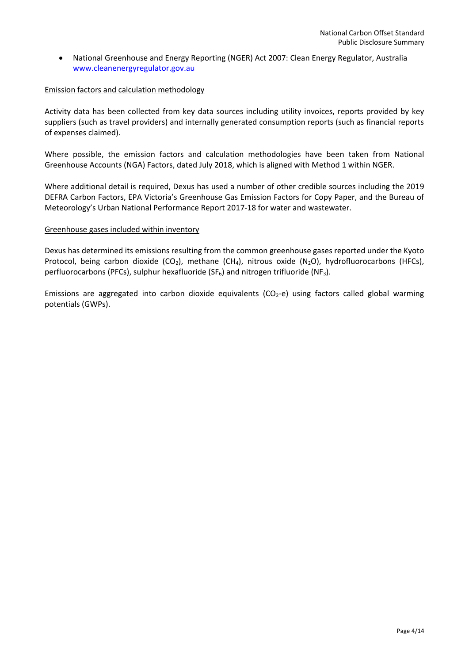• National Greenhouse and Energy Reporting (NGER) Act 2007: Clean Energy Regulator, Australia www.cleanenergyregulator.gov.au

### Emission factors and calculation methodology

Activity data has been collected from key data sources including utility invoices, reports provided by key suppliers (such as travel providers) and internally generated consumption reports (such as financial reports of expenses claimed).

Where possible, the emission factors and calculation methodologies have been taken from National Greenhouse Accounts (NGA) Factors, dated July 2018, which is aligned with Method 1 within NGER.

Where additional detail is required, Dexus has used a number of other credible sources including the 2019 DEFRA Carbon Factors, EPA Victoria's Greenhouse Gas Emission Factors for Copy Paper, and the Bureau of Meteorology's Urban National Performance Report 2017-18 for water and wastewater.

### Greenhouse gases included within inventory

Dexus has determined its emissions resulting from the common greenhouse gases reported under the Kyoto Protocol, being carbon dioxide (CO<sub>2</sub>), methane (CH<sub>4</sub>), nitrous oxide (N<sub>2</sub>O), hydrofluorocarbons (HFCs), perfluorocarbons (PFCs), sulphur hexafluoride (SF $_6$ ) and nitrogen trifluoride (NF<sub>3</sub>).

Emissions are aggregated into carbon dioxide equivalents ( $CO<sub>2</sub>$ -e) using factors called global warming potentials (GWPs).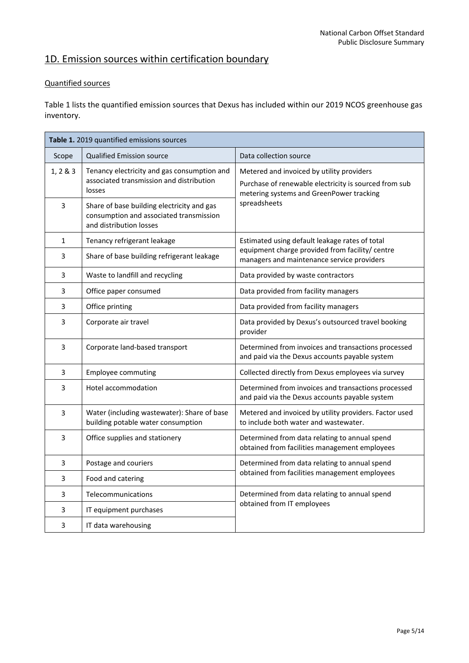# 1D. Emission sources within certification boundary

## Quantified sources

Table 1 lists the quantified emission sources that Dexus has included within our 2019 NCOS greenhouse gas inventory.

| Table 1. 2019 quantified emissions sources |                                                                                                                  |                                                                                                                                                                |  |  |  |
|--------------------------------------------|------------------------------------------------------------------------------------------------------------------|----------------------------------------------------------------------------------------------------------------------------------------------------------------|--|--|--|
| Scope                                      | <b>Qualified Emission source</b>                                                                                 | Data collection source                                                                                                                                         |  |  |  |
| 1, 2 & 3                                   | Tenancy electricity and gas consumption and<br>associated transmission and distribution<br>losses                | Metered and invoiced by utility providers<br>Purchase of renewable electricity is sourced from sub<br>metering systems and GreenPower tracking<br>spreadsheets |  |  |  |
| $\overline{3}$                             | Share of base building electricity and gas<br>consumption and associated transmission<br>and distribution losses |                                                                                                                                                                |  |  |  |
| 1                                          | Tenancy refrigerant leakage                                                                                      | Estimated using default leakage rates of total                                                                                                                 |  |  |  |
| $\mathbf{3}$                               | Share of base building refrigerant leakage                                                                       | equipment charge provided from facility/ centre<br>managers and maintenance service providers                                                                  |  |  |  |
| 3                                          | Waste to landfill and recycling                                                                                  | Data provided by waste contractors                                                                                                                             |  |  |  |
| 3                                          | Office paper consumed                                                                                            | Data provided from facility managers                                                                                                                           |  |  |  |
| 3                                          | Office printing                                                                                                  | Data provided from facility managers                                                                                                                           |  |  |  |
| 3                                          | Corporate air travel                                                                                             | Data provided by Dexus's outsourced travel booking<br>provider                                                                                                 |  |  |  |
| 3                                          | Corporate land-based transport                                                                                   | Determined from invoices and transactions processed<br>and paid via the Dexus accounts payable system                                                          |  |  |  |
| 3                                          | <b>Employee commuting</b>                                                                                        | Collected directly from Dexus employees via survey                                                                                                             |  |  |  |
| 3                                          | Hotel accommodation                                                                                              | Determined from invoices and transactions processed<br>and paid via the Dexus accounts payable system                                                          |  |  |  |
| $\mathsf{3}$                               | Water (including wastewater): Share of base<br>building potable water consumption                                | Metered and invoiced by utility providers. Factor used<br>to include both water and wastewater.                                                                |  |  |  |
| 3                                          | Office supplies and stationery                                                                                   | Determined from data relating to annual spend<br>obtained from facilities management employees                                                                 |  |  |  |
| 3                                          | Postage and couriers                                                                                             | Determined from data relating to annual spend                                                                                                                  |  |  |  |
| 3                                          | Food and catering                                                                                                | obtained from facilities management employees                                                                                                                  |  |  |  |
| 3                                          | Telecommunications                                                                                               | Determined from data relating to annual spend                                                                                                                  |  |  |  |
| 3                                          | IT equipment purchases                                                                                           | obtained from IT employees                                                                                                                                     |  |  |  |
| 3                                          | IT data warehousing                                                                                              |                                                                                                                                                                |  |  |  |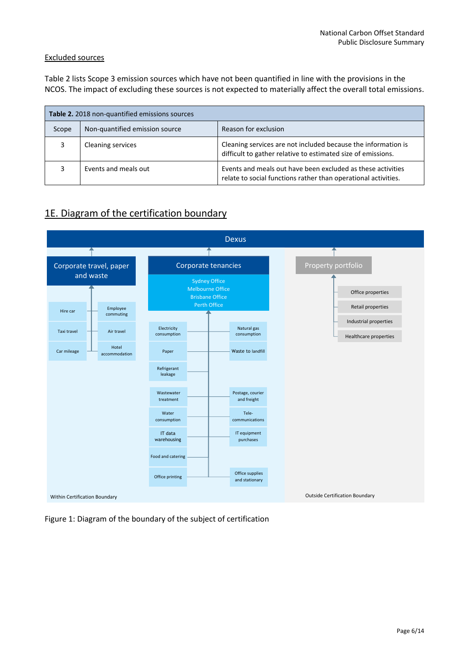### Excluded sources

Table 2 lists Scope 3 emission sources which have not been quantified in line with the provisions in the NCOS. The impact of excluding these sources is not expected to materially affect the overall total emissions.

| Table 2. 2018 non-quantified emissions sources |                                |                                                                                                                               |  |  |
|------------------------------------------------|--------------------------------|-------------------------------------------------------------------------------------------------------------------------------|--|--|
| Scope                                          | Non-quantified emission source | Reason for exclusion                                                                                                          |  |  |
| 3                                              | <b>Cleaning services</b>       | Cleaning services are not included because the information is<br>difficult to gather relative to estimated size of emissions. |  |  |
| 3                                              | Events and meals out           | Events and meals out have been excluded as these activities<br>relate to social functions rather than operational activities. |  |  |

# 1E. Diagram of the certification boundary



Figure 1: Diagram of the boundary of the subject of certification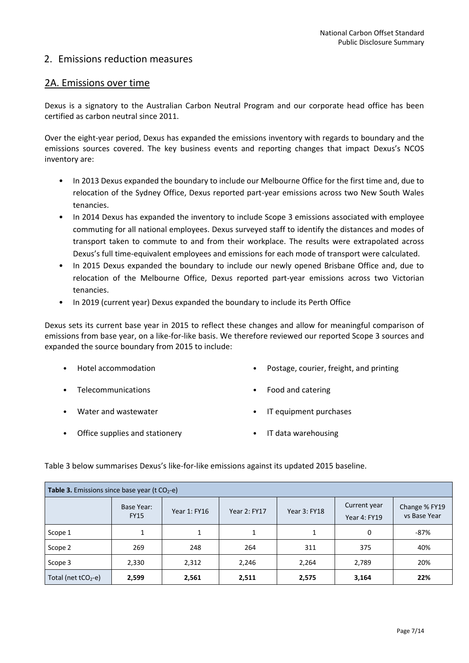# 2. Emissions reduction measures

## 2A. Emissions over time

Dexus is a signatory to the Australian Carbon Neutral Program and our corporate head office has been certified as carbon neutral since 2011.

Over the eight-year period, Dexus has expanded the emissions inventory with regards to boundary and the emissions sources covered. The key business events and reporting changes that impact Dexus's NCOS inventory are:

- In 2013 Dexus expanded the boundary to include our Melbourne Office for the first time and, due to relocation of the Sydney Office, Dexus reported part-year emissions across two New South Wales tenancies.
- In 2014 Dexus has expanded the inventory to include Scope 3 emissions associated with employee commuting for all national employees. Dexus surveyed staff to identify the distances and modes of transport taken to commute to and from their workplace. The results were extrapolated across Dexus's full time-equivalent employees and emissions for each mode of transport were calculated.
- In 2015 Dexus expanded the boundary to include our newly opened Brisbane Office and, due to relocation of the Melbourne Office, Dexus reported part-year emissions across two Victorian tenancies.
- In 2019 (current year) Dexus expanded the boundary to include its Perth Office

Dexus sets its current base year in 2015 to reflect these changes and allow for meaningful comparison of emissions from base year, on a like-for-like basis. We therefore reviewed our reported Scope 3 sources and expanded the source boundary from 2015 to include:

- Hotel accommodation Postage, courier, freight, and printing
- Telecommunications Food and catering
- Water and wastewater IT equipment purchases
- Office supplies and stationery **•** IT data warehousing

| <b>Table 3.</b> Emissions since base year ( $t CO2 - e$ ) |                           |              |                     |                     |                              |                               |  |  |
|-----------------------------------------------------------|---------------------------|--------------|---------------------|---------------------|------------------------------|-------------------------------|--|--|
|                                                           | Base Year:<br><b>FY15</b> | Year 1: FY16 | <b>Year 2: FY17</b> | <b>Year 3: FY18</b> | Current year<br>Year 4: FY19 | Change % FY19<br>vs Base Year |  |  |
| Scope 1                                                   |                           |              |                     |                     | 0                            | $-87%$                        |  |  |
| Scope 2                                                   | 269                       | 248          | 264                 | 311                 | 375                          | 40%                           |  |  |
| Scope 3                                                   | 2,330                     | 2,312        | 2,246               | 2,264               | 2,789                        | 20%                           |  |  |
| Total (net $tCO2 - e$ )                                   | 2,599                     | 2,561        | 2,511               | 2,575               | 3,164                        | 22%                           |  |  |

Table 3 below summarises Dexus's like-for-like emissions against its updated 2015 baseline.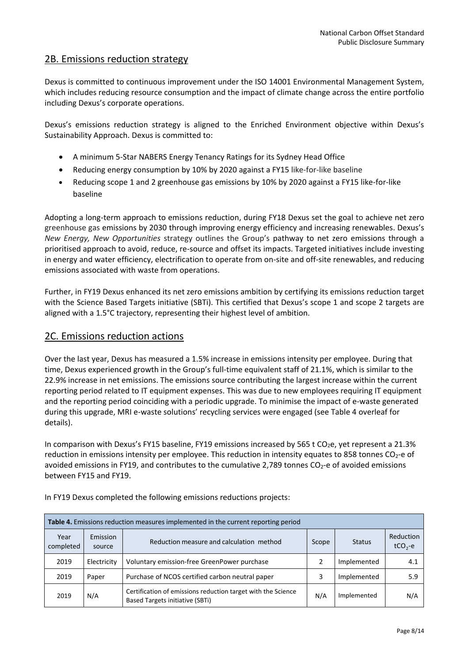# 2B. Emissions reduction strategy

Dexus is committed to continuous improvement under the ISO 14001 Environmental Management System, which includes reducing resource consumption and the impact of climate change across the entire portfolio including Dexus's corporate operations.

Dexus's emissions reduction strategy is aligned to the Enriched Environment objective within Dexus's Sustainability Approach. Dexus is committed to:

- A minimum 5-Star NABERS Energy Tenancy Ratings for its Sydney Head Office
- Reducing energy consumption by 10% by 2020 against a FY15 like-for-like baseline
- Reducing scope 1 and 2 greenhouse gas emissions by 10% by 2020 against a FY15 like-for-like baseline

Adopting a long-term approach to emissions reduction, during FY18 Dexus set the goal to achieve net zero greenhouse gas emissions by 2030 through improving energy efficiency and increasing renewables. Dexus's *New Energy, New Opportunities* strategy outlines the Group's pathway to net zero emissions through a prioritised approach to avoid, reduce, re-source and offset its impacts. Targeted initiatives include investing in energy and water efficiency, electrification to operate from on-site and off-site renewables, and reducing emissions associated with waste from operations.

Further, in FY19 Dexus enhanced its net zero emissions ambition by certifying its emissions reduction target with the Science Based Targets initiative (SBTi). This certified that Dexus's scope 1 and scope 2 targets are aligned with a 1.5°C trajectory, representing their highest level of ambition.

### 2C. Emissions reduction actions

Over the last year, Dexus has measured a 1.5% increase in emissions intensity per employee. During that time, Dexus experienced growth in the Group's full-time equivalent staff of 21.1%, which is similar to the 22.9% increase in net emissions. The emissions source contributing the largest increase within the current reporting period related to IT equipment expenses. This was due to new employees requiring IT equipment and the reporting period coinciding with a periodic upgrade. To minimise the impact of e-waste generated during this upgrade, MRI e-waste solutions' recycling services were engaged (see Table 4 overleaf for details).

In comparison with Dexus's FY15 baseline, FY19 emissions increased by 565 t CO<sub>2</sub>e, yet represent a 21.3% reduction in emissions intensity per employee. This reduction in intensity equates to 858 tonnes  $CO<sub>2</sub>$ -e of avoided emissions in FY19, and contributes to the cumulative 2,789 tonnes CO<sub>2</sub>-e of avoided emissions between FY15 and FY19.

| <b>Table 4.</b> Emissions reduction measures implemented in the current reporting period |                    |                                                                                                        |       |               |                         |  |
|------------------------------------------------------------------------------------------|--------------------|--------------------------------------------------------------------------------------------------------|-------|---------------|-------------------------|--|
| Year<br>completed                                                                        | Emission<br>source | Reduction measure and calculation method                                                               | Scope | <b>Status</b> | Reduction<br>$tCO2 - e$ |  |
| 2019                                                                                     | Electricity        | Voluntary emission-free GreenPower purchase                                                            |       | Implemented   | 4.1                     |  |
| 2019                                                                                     | Paper              | Purchase of NCOS certified carbon neutral paper                                                        | 3     | Implemented   | 5.9                     |  |
| 2019                                                                                     | N/A                | Certification of emissions reduction target with the Science<br><b>Based Targets initiative (SBTi)</b> | N/A   | Implemented   | N/A                     |  |

In FY19 Dexus completed the following emissions reductions projects: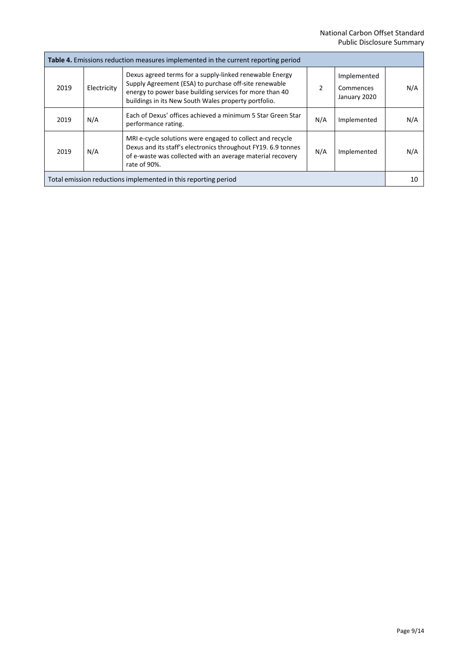| <b>Table 4.</b> Emissions reduction measures implemented in the current reporting period                                                                                                                                                      |             |                                                                                                                                                                                                                                     |     |                                          |     |
|-----------------------------------------------------------------------------------------------------------------------------------------------------------------------------------------------------------------------------------------------|-------------|-------------------------------------------------------------------------------------------------------------------------------------------------------------------------------------------------------------------------------------|-----|------------------------------------------|-----|
| 2019                                                                                                                                                                                                                                          | Electricity | Dexus agreed terms for a supply-linked renewable Energy<br>Supply Agreement (ESA) to purchase off-site renewable<br>energy to power base building services for more than 40<br>buildings in its New South Wales property portfolio. | 2   | Implemented<br>Commences<br>January 2020 | N/A |
| 2019                                                                                                                                                                                                                                          | N/A         | Each of Dexus' offices achieved a minimum 5 Star Green Star<br>performance rating.                                                                                                                                                  | N/A | Implemented                              | N/A |
| MRI e-cycle solutions were engaged to collect and recycle<br>Dexus and its staff's electronics throughout FY19. 6.9 tonnes<br>N/A<br>N/A<br>2019<br>Implemented<br>of e-waste was collected with an average material recovery<br>rate of 90%. |             |                                                                                                                                                                                                                                     |     |                                          |     |
| Total emission reductions implemented in this reporting period                                                                                                                                                                                |             |                                                                                                                                                                                                                                     |     | 10                                       |     |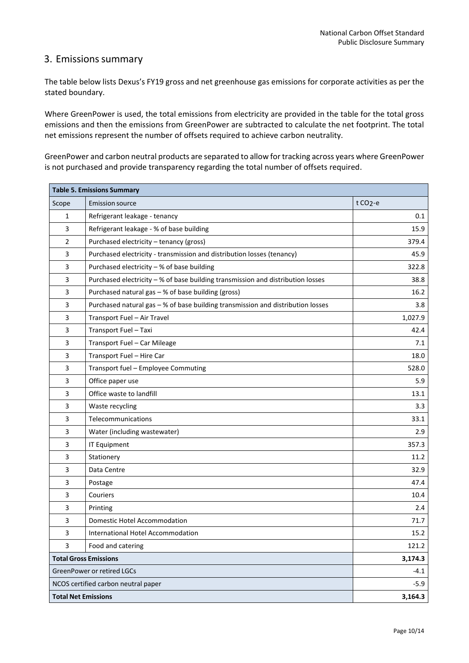# 3. Emissions summary

The table below lists Dexus's FY19 gross and net greenhouse gas emissions for corporate activities as per the stated boundary.

Where GreenPower is used, the total emissions from electricity are provided in the table for the total gross emissions and then the emissions from GreenPower are subtracted to calculate the net footprint. The total net emissions represent the number of offsets required to achieve carbon neutrality.

GreenPower and carbon neutral products are separated to allow for tracking across years where GreenPower is not purchased and provide transparency regarding the total number of offsets required.

| <b>Table 5. Emissions Summary</b> |                                                                                 |                     |  |  |
|-----------------------------------|---------------------------------------------------------------------------------|---------------------|--|--|
| Scope                             | <b>Emission source</b>                                                          | t CO <sub>2-e</sub> |  |  |
| 1                                 | Refrigerant leakage - tenancy                                                   | 0.1                 |  |  |
| 3                                 | Refrigerant leakage - % of base building                                        |                     |  |  |
| $\overline{2}$                    | Purchased electricity - tenancy (gross)                                         | 379.4               |  |  |
| 3                                 | Purchased electricity - transmission and distribution losses (tenancy)          | 45.9                |  |  |
| 3                                 | Purchased electricity - % of base building                                      | 322.8               |  |  |
| 3                                 | Purchased electricity - % of base building transmission and distribution losses | 38.8                |  |  |
| 3                                 | Purchased natural gas - % of base building (gross)                              | 16.2                |  |  |
| 3                                 | Purchased natural gas - % of base building transmission and distribution losses | 3.8                 |  |  |
| 3                                 | Transport Fuel - Air Travel                                                     | 1,027.9             |  |  |
| 3                                 | Transport Fuel - Taxi                                                           | 42.4                |  |  |
| 3                                 | Transport Fuel - Car Mileage                                                    | 7.1                 |  |  |
| 3                                 | Transport Fuel - Hire Car                                                       | 18.0                |  |  |
| 3                                 | Transport fuel - Employee Commuting                                             | 528.0               |  |  |
| 3                                 | Office paper use                                                                | 5.9                 |  |  |
| 3                                 | Office waste to landfill                                                        | 13.1                |  |  |
| 3                                 | Waste recycling                                                                 | 3.3                 |  |  |
| 3                                 | Telecommunications                                                              | 33.1                |  |  |
| 3                                 | Water (including wastewater)                                                    | 2.9                 |  |  |
| 3                                 | <b>IT Equipment</b>                                                             | 357.3               |  |  |
| 3                                 | Stationery                                                                      | 11.2                |  |  |
| 3                                 | Data Centre                                                                     | 32.9                |  |  |
| 3                                 | Postage                                                                         | 47.4                |  |  |
| 3                                 | Couriers                                                                        | 10.4                |  |  |
| 3                                 | Printing                                                                        | 2.4                 |  |  |
| 3                                 | Domestic Hotel Accommodation                                                    | 71.7                |  |  |
| 3                                 | International Hotel Accommodation                                               | 15.2                |  |  |
| 3                                 | Food and catering                                                               | 121.2               |  |  |
|                                   | <b>Total Gross Emissions</b>                                                    | 3,174.3             |  |  |
|                                   | <b>GreenPower or retired LGCs</b>                                               | $-4.1$              |  |  |
|                                   | NCOS certified carbon neutral paper<br>$-5.9$                                   |                     |  |  |
| <b>Total Net Emissions</b>        |                                                                                 | 3,164.3             |  |  |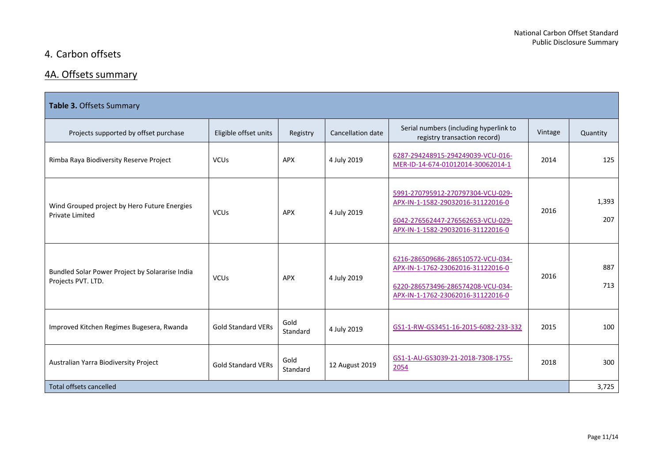# 4. Carbon offsets

# 4A. Offsets summary

| Table 3. Offsets Summary                                               |                           |                  |                          |                                                                                                                                                  |         |              |  |
|------------------------------------------------------------------------|---------------------------|------------------|--------------------------|--------------------------------------------------------------------------------------------------------------------------------------------------|---------|--------------|--|
| Projects supported by offset purchase                                  | Eligible offset units     | Registry         | <b>Cancellation date</b> | Serial numbers (including hyperlink to<br>registry transaction record)                                                                           | Vintage | Quantity     |  |
| Rimba Raya Biodiversity Reserve Project                                | <b>VCUs</b>               | <b>APX</b>       | 4 July 2019              | 6287-294248915-294249039-VCU-016-<br>MER-ID-14-674-01012014-30062014-1                                                                           | 2014    | 125          |  |
| Wind Grouped project by Hero Future Energies<br><b>Private Limited</b> | <b>VCU<sub>s</sub></b>    | APX              | 4 July 2019              | 5991-270795912-270797304-VCU-029-<br>APX-IN-1-1582-29032016-31122016-0<br>6042-276562447-276562653-VCU-029-<br>APX-IN-1-1582-29032016-31122016-0 | 2016    | 1,393<br>207 |  |
| Bundled Solar Power Project by Solararise India<br>Projects PVT. LTD.  | <b>VCUs</b>               | APX              | 4 July 2019              | 6216-286509686-286510572-VCU-034-<br>APX-IN-1-1762-23062016-31122016-0<br>6220-286573496-286574208-VCU-034-<br>APX-IN-1-1762-23062016-31122016-0 | 2016    | 887<br>713   |  |
| Improved Kitchen Regimes Bugesera, Rwanda                              | <b>Gold Standard VERs</b> | Gold<br>Standard | 4 July 2019              | GS1-1-RW-GS3451-16-2015-6082-233-332                                                                                                             | 2015    | 100          |  |
| Australian Yarra Biodiversity Project                                  | <b>Gold Standard VERs</b> | Gold<br>Standard | 12 August 2019           | GS1-1-AU-GS3039-21-2018-7308-1755-<br>2054                                                                                                       | 2018    | 300          |  |
| Total offsets cancelled                                                |                           |                  |                          |                                                                                                                                                  |         | 3,725        |  |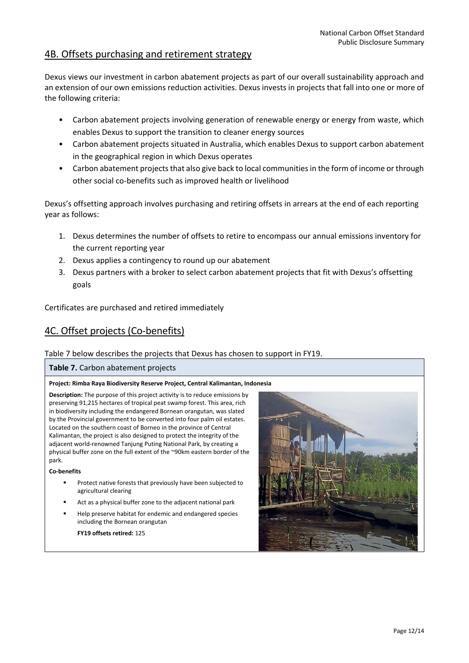# 4B. Offsets purchasing and retirement strategy

Dexus views our investment in carbon abatement projects as part of our overall sustainability approach and an extension of our own emissions reduction activities. Dexus invests in projects that fall into one or more of the following criteria:

- Carbon abatement projects involving generation of renewable energy or energy from waste, which enables Dexus to support the transition to cleaner energy sources
- Carbon abatement projects situated in Australia, which enables Dexus to support carbon abatement in the geographical region in which Dexus operates
- Carbon abatement projects that also give back to local communities in the form of income or through other social co-benefits such as improved health or livelihood

Dexus's offsetting approach involves purchasing and retiring offsets in arrears at the end of each reporting year as follows:

- 1. Dexus determines the number of offsets to retire to encompass our annual emissions inventory for the current reporting year
- 2. Dexus applies a contingency to round up our abatement
- 3. Dexus partners with a broker to select carbon abatement projects that fit with Dexus's offsetting goals

Certificates are purchased and retired immediately

# 4C. Offset projects (Co-benefits)

### Table 7 below describes the projects that Dexus has chosen to support in FY19.

### **Table 7.** Carbon abatement projects

### **Project: Rimba Raya Biodiversity Reserve Project, Central Kalimantan, Indonesia**

**Description:** The purpose of this project activity is to reduce emissions by preserving 91,215 hectares of tropical peat swamp forest. This area, rich in biodiversity including the endangered Bornean orangutan, was slated by the Provincial government to be converted into four palm oil estates. Located on the southern coast of Borneo in the province of Central Kalimantan, the project is also designed to protect the integrity of the adjacent world-renowned Tanjung Puting National Park, by creating a physical buffer zone on the full extent of the ~90km eastern border of the park.

### **Co-benefits**

- Protect native forests that previously have been subjected to agricultural clearing
- Act as a physical buffer zone to the adjacent national park
- Help preserve habitat for endemic and endangered species including the Bornean orangutan

**FY19 offsets retired:** 125

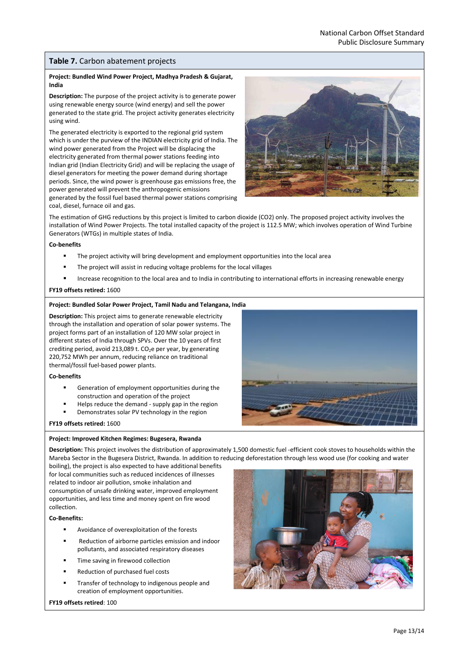### **Table 7.** Carbon abatement projects

### **Project: Bundled Wind Power Project, Madhya Pradesh & Gujarat, India**

**Description:** The purpose of the project activity is to generate power using renewable energy source (wind energy) and sell the power generated to the state grid. The project activity generates electricity using wind.

The generated electricity is exported to the regional grid system which is under the purview of the INDIAN electricity grid of India. The wind power generated from the Project will be displacing the electricity generated from thermal power stations feeding into Indian grid (Indian Electricity Grid) and will be replacing the usage of diesel generators for meeting the power demand during shortage periods. Since, the wind power is greenhouse gas emissions free, the power generated will prevent the anthropogenic emissions generated by the fossil fuel based thermal power stations comprising coal, diesel, furnace oil and gas.



The estimation of GHG reductions by this project is limited to carbon dioxide (CO2) only. The proposed project activity involves the installation of Wind Power Projects. The total installed capacity of the project is 112.5 MW; which involves operation of Wind Turbine Generators (WTGs) in multiple states of India.

#### **Co-benefits**

- The project activity will bring development and employment opportunities into the local area
- The project will assist in reducing voltage problems for the local villages
- Increase recognition to the local area and to India in contributing to international efforts in increasing renewable energy

#### **FY19 offsets retired:** 1600

#### **Project: Bundled Solar Power Project, Tamil Nadu and Telangana, India**

**Description:** This project aims to generate renewable electricity through the installation and operation of solar power systems. The project forms part of an installation of 120 MW solar project in different states of India through SPVs. Over the 10 years of first crediting period, avoid 213,089 t.  $CO<sub>2</sub>e$  per year, by generating 220,752 MWh per annum, reducing reliance on traditional thermal/fossil fuel-based power plants.

#### **Co-benefits**

- Generation of employment opportunities during the construction and operation of the project
- Helps reduce the demand supply gap in the region
- Demonstrates solar PV technology in the region



**FY19 offsets retired:** 1600

#### **Project: Improved Kitchen Regimes: Bugesera, Rwanda**

**Description:** This project involves the distribution of approximately 1,500 domestic fuel -efficient cook stoves to households within the Mareba Sector in the Bugesera District, Rwanda. In addition to reducing deforestation through less wood use (for cooking and water

boiling), the project is also expected to have additional benefits for local communities such as reduced incidences of illnesses related to indoor air pollution, smoke inhalation and consumption of unsafe drinking water, improved employment opportunities, and less time and money spent on fire wood collection.

#### **Co-Benefits:**

- Avoidance of overexploitation of the forests
- Reduction of airborne particles emission and indoor pollutants, and associated respiratory diseases
- Time saving in firewood collection
- Reduction of purchased fuel costs
- Transfer of technology to indigenous people and creation of employment opportunities.

#### **FY19 offsets retired**: 100